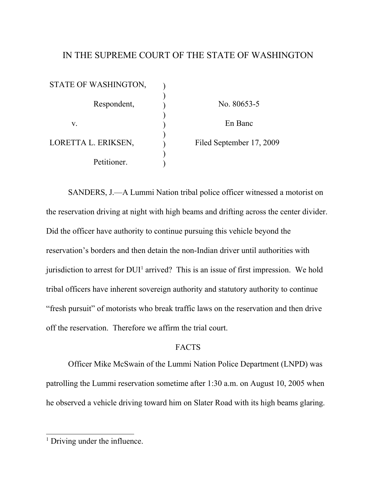## IN THE SUPREME COURT OF THE STATE OF WASHINGTON

| STATE OF WASHINGTON, |                          |
|----------------------|--------------------------|
| Respondent,          | No. 80653-5              |
| V.                   | En Banc                  |
| LORETTA L. ERIKSEN,  | Filed September 17, 2009 |
| Petitioner.          |                          |

SANDERS, J.—A Lummi Nation tribal police officer witnessed a motorist on the reservation driving at night with high beams and drifting across the center divider. Did the officer have authority to continue pursuing this vehicle beyond the reservation's borders and then detain the non-Indian driver until authorities with jurisdiction to arrest for DUI<sup>1</sup> arrived? This is an issue of first impression. We hold tribal officers have inherent sovereign authority and statutory authority to continue "fresh pursuit" of motorists who break traffic laws on the reservation and then drive off the reservation. Therefore we affirm the trial court.

### FACTS

Officer Mike McSwain of the Lummi Nation Police Department (LNPD) was patrolling the Lummi reservation sometime after 1:30 a.m. on August 10, 2005 when he observed a vehicle driving toward him on Slater Road with its high beams glaring.

<sup>&</sup>lt;sup>1</sup> Driving under the influence.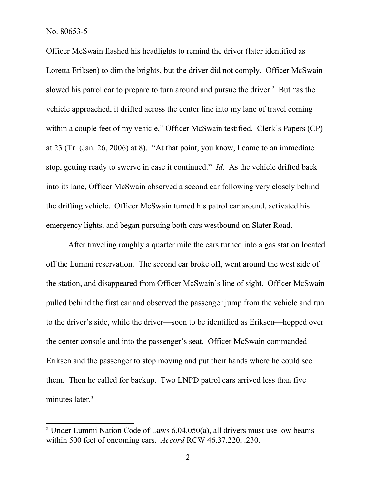Officer McSwain flashed his headlights to remind the driver (later identified as Loretta Eriksen) to dim the brights, but the driver did not comply. Officer McSwain slowed his patrol car to prepare to turn around and pursue the driver.<sup>2</sup> But "as the vehicle approached, it drifted across the center line into my lane of travel coming within a couple feet of my vehicle," Officer McSwain testified. Clerk's Papers (CP) at 23 (Tr. (Jan. 26, 2006) at 8). "At that point, you know, I came to an immediate stop, getting ready to swerve in case it continued." *Id.* As the vehicle drifted back into its lane, Officer McSwain observed a second car following very closely behind the drifting vehicle. Officer McSwain turned his patrol car around, activated his emergency lights, and began pursuing both cars westbound on Slater Road.

After traveling roughly a quarter mile the cars turned into a gas station located off the Lummi reservation. The second car broke off, went around the west side of the station, and disappeared from Officer McSwain's line of sight. Officer McSwain pulled behind the first car and observed the passenger jump from the vehicle and run to the driver's side, while the driver—soon to be identified as Eriksen—hopped over the center console and into the passenger's seat. Officer McSwain commanded Eriksen and the passenger to stop moving and put their hands where he could see them. Then he called for backup. Two LNPD patrol cars arrived less than five minutes later.<sup>3</sup>

<sup>2</sup> Under Lummi Nation Code of Laws 6.04.050(a), all drivers must use low beams within 500 feet of oncoming cars. *Accord* RCW 46.37.220, .230.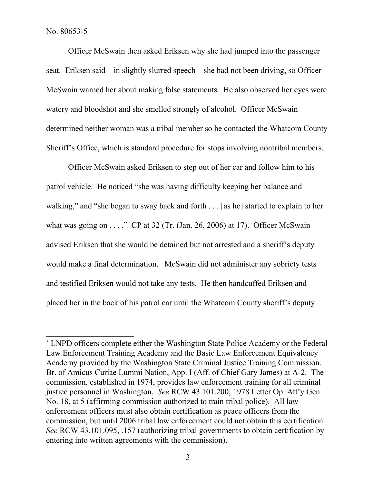Officer McSwain then asked Eriksen why she had jumped into the passenger seat. Eriksen said—in slightly slurred speech—she had not been driving, so Officer McSwain warned her about making false statements. He also observed her eyes were watery and bloodshot and she smelled strongly of alcohol. Officer McSwain determined neither woman was a tribal member so he contacted the Whatcom County Sheriff's Office, which is standard procedure for stops involving nontribal members.

Officer McSwain asked Eriksen to step out of her car and follow him to his patrol vehicle. He noticed "she was having difficulty keeping her balance and walking," and "she began to sway back and forth . . . [as he] started to explain to her what was going on . . . ." CP at 32 (Tr. (Jan. 26, 2006) at 17). Officer McSwain advised Eriksen that she would be detained but not arrested and a sheriff's deputy would make a final determination. McSwain did not administer any sobriety tests and testified Eriksen would not take any tests. He then handcuffed Eriksen and placed her in the back of his patrol car until the Whatcom County sheriff's deputy

<sup>&</sup>lt;sup>3</sup> LNPD officers complete either the Washington State Police Academy or the Federal Law Enforcement Training Academy and the Basic Law Enforcement Equivalency Academy provided by the Washington State Criminal Justice Training Commission. Br. of Amicus Curiae Lummi Nation, App. I (Aff. of Chief Gary James) at A-2. The commission, established in 1974, provides law enforcement training for all criminal justice personnel in Washington. *See* RCW 43.101.200; 1978 Letter Op. Att'y Gen. No. 18, at 5 (affirming commission authorized to train tribal police). All law enforcement officers must also obtain certification as peace officers from the commission, but until 2006 tribal law enforcement could not obtain this certification. *See* RCW 43.101.095, .157 (authorizing tribal governments to obtain certification by entering into written agreements with the commission).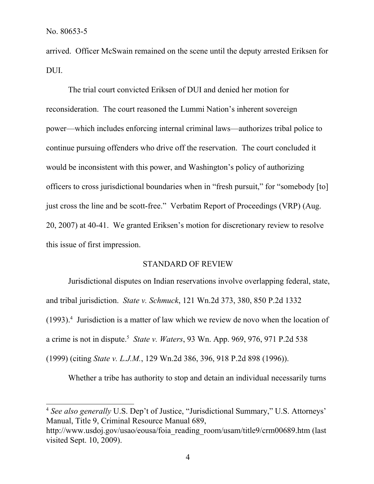arrived. Officer McSwain remained on the scene until the deputy arrested Eriksen for DUI.

The trial court convicted Eriksen of DUI and denied her motion for reconsideration. The court reasoned the Lummi Nation's inherent sovereign power—which includes enforcing internal criminal laws—authorizes tribal police to continue pursuing offenders who drive off the reservation. The court concluded it would be inconsistent with this power, and Washington's policy of authorizing officers to cross jurisdictional boundaries when in "fresh pursuit," for "somebody [to] just cross the line and be scott-free." Verbatim Report of Proceedings (VRP) (Aug. 20, 2007) at 40-41. We granted Eriksen's motion for discretionary review to resolve this issue of first impression.

#### STANDARD OF REVIEW

Jurisdictional disputes on Indian reservations involve overlapping federal, state, and tribal jurisdiction. *State v. Schmuck*, 121 Wn.2d 373, 380, 850 P.2d 1332 (1993).<sup>4</sup> Jurisdiction is a matter of law which we review de novo when the location of a crime is not in dispute.<sup>5</sup> *State v. Waters*, 93 Wn. App. 969, 976, 971 P.2d 538 (1999) (citing *State v. L.J.M.*, 129 Wn.2d 386, 396, 918 P.2d 898 (1996)).

Whether a tribe has authority to stop and detain an individual necessarily turns

<sup>4</sup> *See also generally* U.S. Dep't of Justice, "Jurisdictional Summary," U.S. Attorneys' Manual, Title 9, Criminal Resource Manual 689,

http://www.usdoj.gov/usao/eousa/foia\_reading\_room/usam/title9/crm00689.htm (last visited Sept. 10, 2009).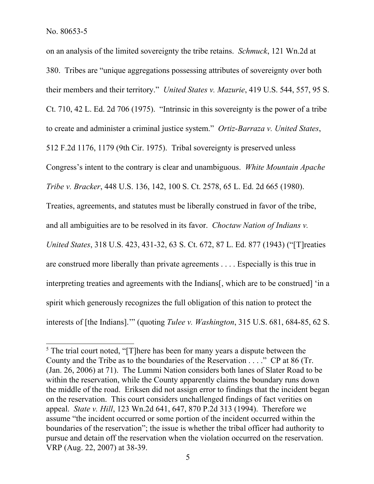on an analysis of the limited sovereignty the tribe retains. *Schmuck*, 121 Wn.2d at 380. Tribes are "unique aggregations possessing attributes of sovereignty over both their members and their territory." *United States v. Mazurie*, 419 U.S. 544, 557, 95 S. Ct. 710, 42 L. Ed. 2d 706 (1975). "Intrinsic in this sovereignty is the power of a tribe to create and administer a criminal justice system." *Ortiz-Barraza v. United States*, 512 F.2d 1176, 1179 (9th Cir. 1975). Tribal sovereignty is preserved unless Congress's intent to the contrary is clear and unambiguous. *White Mountain Apache Tribe v. Bracker*, 448 U.S. 136, 142, 100 S. Ct. 2578, 65 L. Ed. 2d 665 (1980). Treaties, agreements, and statutes must be liberally construed in favor of the tribe, and all ambiguities are to be resolved in its favor. *Choctaw Nation of Indians v. United States*, 318 U.S. 423, 431-32, 63 S. Ct. 672, 87 L. Ed. 877 (1943) ("[T]reaties are construed more liberally than private agreements . . . . Especially is this true in interpreting treaties and agreements with the Indians[, which are to be construed] 'in a spirit which generously recognizes the full obligation of this nation to protect the interests of [the Indians].'" (quoting *Tulee v. Washington*, 315 U.S. 681, 684-85, 62 S.

<sup>&</sup>lt;sup>5</sup> The trial court noted, "[T]here has been for many years a dispute between the County and the Tribe as to the boundaries of the Reservation . . . ." CP at 86 (Tr. (Jan. 26, 2006) at 71). The Lummi Nation considers both lanes of Slater Road to be within the reservation, while the County apparently claims the boundary runs down the middle of the road. Eriksen did not assign error to findings that the incident began on the reservation. This court considers unchallenged findings of fact verities on appeal. *State v. Hill*, 123 Wn.2d 641, 647, 870 P.2d 313 (1994). Therefore we assume "the incident occurred or some portion of the incident occurred within the boundaries of the reservation"; the issue is whether the tribal officer had authority to pursue and detain off the reservation when the violation occurred on the reservation. VRP (Aug. 22, 2007) at 38-39.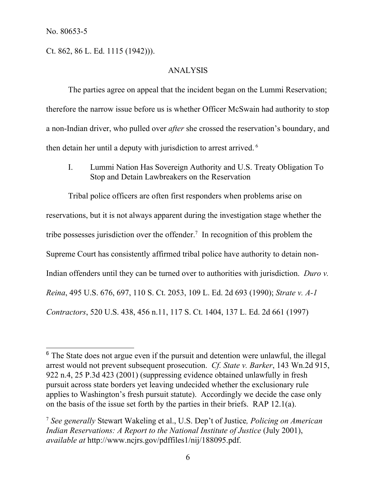Ct. 862, 86 L. Ed. 1115 (1942))).

#### ANALYSIS

The parties agree on appeal that the incident began on the Lummi Reservation; therefore the narrow issue before us is whether Officer McSwain had authority to stop a non-Indian driver, who pulled over *after* she crossed the reservation's boundary, and then detain her until a deputy with jurisdiction to arrest arrived. <sup>6</sup>

I. Lummi Nation Has Sovereign Authority and U.S. Treaty Obligation To Stop and Detain Lawbreakers on the Reservation

Tribal police officers are often first responders when problems arise on reservations, but it is not always apparent during the investigation stage whether the tribe possesses jurisdiction over the offender.<sup>7</sup> In recognition of this problem the Supreme Court has consistently affirmed tribal police have authority to detain non-Indian offenders until they can be turned over to authorities with jurisdiction. *Duro v. Reina*, 495 U.S. 676, 697, 110 S. Ct. 2053, 109 L. Ed. 2d 693 (1990); *Strate v. A-1 Contractors*, 520 U.S. 438, 456 n.11, 117 S. Ct. 1404, 137 L. Ed. 2d 661 (1997)

<sup>&</sup>lt;sup>6</sup> The State does not argue even if the pursuit and detention were unlawful, the illegal arrest would not prevent subsequent prosecution. *Cf. State v. Barker*, 143 Wn.2d 915, 922 n.4, 25 P.3d 423 (2001) (suppressing evidence obtained unlawfully in fresh pursuit across state borders yet leaving undecided whether the exclusionary rule applies to Washington's fresh pursuit statute). Accordingly we decide the case only on the basis of the issue set forth by the parties in their briefs. RAP 12.1(a).

<sup>7</sup> *See generally* Stewart Wakeling et al., U.S. Dep't of Justice*, Policing on American Indian Reservations: A Report to the National Institute of Justice* (July 2001), *available at* http://www.ncjrs.gov/pdffiles1/nij/188095.pdf.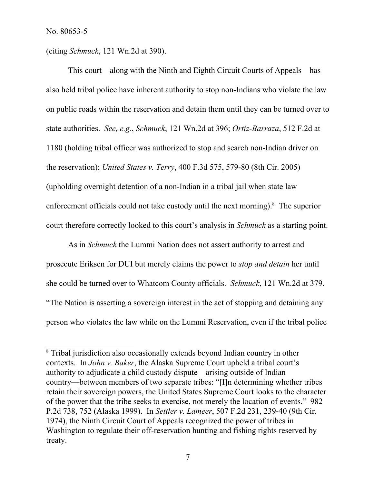(citing *Schmuck*, 121 Wn.2d at 390).

This court—along with the Ninth and Eighth Circuit Courts of Appeals—has also held tribal police have inherent authority to stop non-Indians who violate the law on public roads within the reservation and detain them until they can be turned over to state authorities. *See, e.g.*, *Schmuck*, 121 Wn.2d at 396; *Ortiz-Barraza*, 512 F.2d at 1180 (holding tribal officer was authorized to stop and search non-Indian driver on the reservation); *United States v. Terry*, 400 F.3d 575, 579-80 (8th Cir. 2005) (upholding overnight detention of a non-Indian in a tribal jail when state law enforcement officials could not take custody until the next morning). <sup>8</sup> The superior court therefore correctly looked to this court's analysis in *Schmuck* as a starting point.

As in *Schmuck* the Lummi Nation does not assert authority to arrest and prosecute Eriksen for DUI but merely claims the power to *stop and detain* her until she could be turned over to Whatcom County officials. *Schmuck*, 121 Wn.2d at 379. "The Nation is asserting a sovereign interest in the act of stopping and detaining any person who violates the law while on the Lummi Reservation, even if the tribal police

<sup>&</sup>lt;sup>8</sup> Tribal jurisdiction also occasionally extends beyond Indian country in other contexts. In *John v. Baker*, the Alaska Supreme Court upheld a tribal court's authority to adjudicate a child custody dispute—arising outside of Indian country—between members of two separate tribes: "[I]n determining whether tribes retain their sovereign powers, the United States Supreme Court looks to the character of the power that the tribe seeks to exercise, not merely the location of events." 982 P.2d 738, 752 (Alaska 1999). In *Settler v. Lameer*, 507 F.2d 231, 239-40 (9th Cir. 1974), the Ninth Circuit Court of Appeals recognized the power of tribes in Washington to regulate their off-reservation hunting and fishing rights reserved by treaty.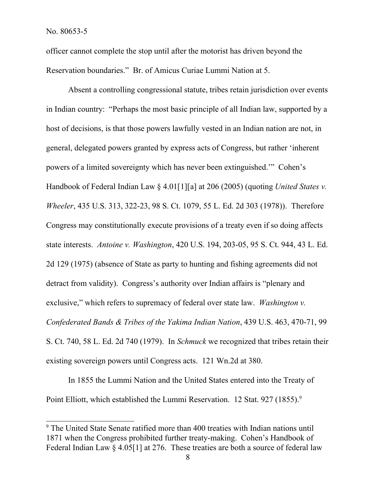officer cannot complete the stop until after the motorist has driven beyond the Reservation boundaries." Br. of Amicus Curiae Lummi Nation at 5.

Absent a controlling congressional statute, tribes retain jurisdiction over events in Indian country: "Perhaps the most basic principle of all Indian law, supported by a host of decisions, is that those powers lawfully vested in an Indian nation are not, in general, delegated powers granted by express acts of Congress, but rather 'inherent powers of a limited sovereignty which has never been extinguished.'" Cohen's Handbook of Federal Indian Law § 4.01[1][a] at 206 (2005) (quoting *United States v. Wheeler*, 435 U.S. 313, 322-23, 98 S. Ct. 1079, 55 L. Ed. 2d 303 (1978)). Therefore Congress may constitutionally execute provisions of a treaty even if so doing affects state interests. *Antoine v. Washington*, 420 U.S. 194, 203-05, 95 S. Ct. 944, 43 L. Ed. 2d 129 (1975) (absence of State as party to hunting and fishing agreements did not detract from validity). Congress's authority over Indian affairs is "plenary and exclusive," which refers to supremacy of federal over state law. *Washington v. Confederated Bands & Tribes of the Yakima Indian Nation*, 439 U.S. 463, 470-71, 99 S. Ct. 740, 58 L. Ed. 2d 740 (1979). In *Schmuck* we recognized that tribes retain their existing sovereign powers until Congress acts. 121 Wn.2d at 380.

In 1855 the Lummi Nation and the United States entered into the Treaty of Point Elliott, which established the Lummi Reservation. 12 Stat. 927 (1855).<sup>9</sup>

<sup>9</sup> The United State Senate ratified more than 400 treaties with Indian nations until 1871 when the Congress prohibited further treaty-making. Cohen's Handbook of Federal Indian Law § 4.05[1] at 276. These treaties are both a source of federal law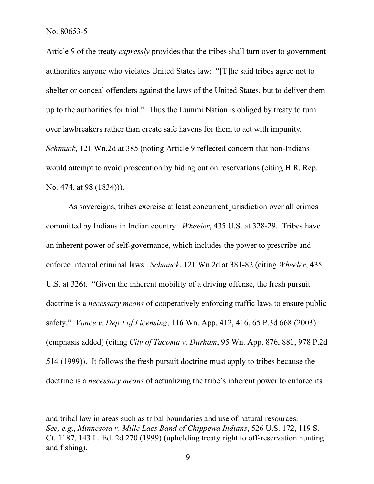Article 9 of the treaty *expressly* provides that the tribes shall turn over to government authorities anyone who violates United States law: "[T]he said tribes agree not to shelter or conceal offenders against the laws of the United States, but to deliver them up to the authorities for trial." Thus the Lummi Nation is obliged by treaty to turn over lawbreakers rather than create safe havens for them to act with impunity. *Schmuck*, 121 Wn.2d at 385 (noting Article 9 reflected concern that non-Indians would attempt to avoid prosecution by hiding out on reservations (citing H.R. Rep. No. 474, at 98 (1834))).

As sovereigns, tribes exercise at least concurrent jurisdiction over all crimes committed by Indians in Indian country. *Wheeler*, 435 U.S. at 328-29. Tribes have an inherent power of self-governance, which includes the power to prescribe and enforce internal criminal laws. *Schmuck*, 121 Wn.2d at 381-82 (citing *Wheeler*, 435 U.S. at 326). "Given the inherent mobility of a driving offense, the fresh pursuit doctrine is a *necessary means* of cooperatively enforcing traffic laws to ensure public safety." *Vance v. Dep't of Licensing*, 116 Wn. App. 412, 416, 65 P.3d 668 (2003) (emphasis added) (citing *City of Tacoma v. Durham*, 95 Wn. App. 876, 881, 978 P.2d 514 (1999)). It follows the fresh pursuit doctrine must apply to tribes because the doctrine is a *necessary means* of actualizing the tribe's inherent power to enforce its

and tribal law in areas such as tribal boundaries and use of natural resources. *See, e.g.*, *Minnesota v. Mille Lacs Band of Chippewa Indians*, 526 U.S. 172, 119 S. Ct. 1187, 143 L. Ed. 2d 270 (1999) (upholding treaty right to off-reservation hunting and fishing).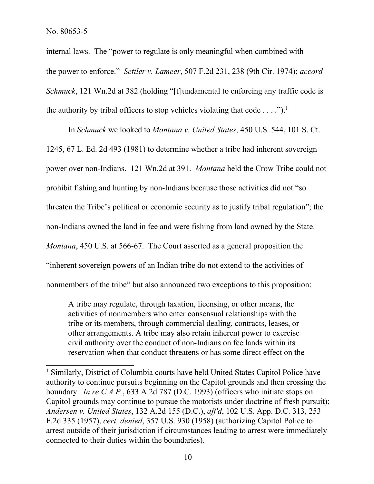internal laws. The "power to regulate is only meaningful when combined with the power to enforce." *Settler v. Lameer*, 507 F.2d 231, 238 (9th Cir. 1974); *accord Schmuck*, 121 Wn.2d at 382 (holding "[f]undamental to enforcing any traffic code is the authority by tribal officers to stop vehicles violating that code  $\dots$ .").<sup>1</sup>

In *Schmuck* we looked to *Montana v. United States*, 450 U.S. 544, 101 S. Ct. 1245, 67 L. Ed. 2d 493 (1981) to determine whether a tribe had inherent sovereign power over non-Indians. 121 Wn.2d at 391. *Montana* held the Crow Tribe could not prohibit fishing and hunting by non-Indians because those activities did not "so threaten the Tribe's political or economic security as to justify tribal regulation"; the non-Indians owned the land in fee and were fishing from land owned by the State. *Montana*, 450 U.S. at 566-67. The Court asserted as a general proposition the "inherent sovereign powers of an Indian tribe do not extend to the activities of nonmembers of the tribe" but also announced two exceptions to this proposition:

A tribe may regulate, through taxation, licensing, or other means, the activities of nonmembers who enter consensual relationships with the tribe or its members, through commercial dealing, contracts, leases, or other arrangements. A tribe may also retain inherent power to exercise civil authority over the conduct of non-Indians on fee lands within its reservation when that conduct threatens or has some direct effect on the

<sup>&</sup>lt;sup>1</sup> Similarly, District of Columbia courts have held United States Capitol Police have authority to continue pursuits beginning on the Capitol grounds and then crossing the boundary. *In re C.A.P.*, 633 A.2d 787 (D.C. 1993) (officers who initiate stops on Capitol grounds may continue to pursue the motorists under doctrine of fresh pursuit); *Andersen v. United States*, 132 A.2d 155 (D.C.), *aff'd*, 102 U.S. App. D.C. 313, 253 F.2d 335 (1957), *cert. denied*, 357 U.S. 930 (1958) (authorizing Capitol Police to arrest outside of their jurisdiction if circumstances leading to arrest were immediately connected to their duties within the boundaries).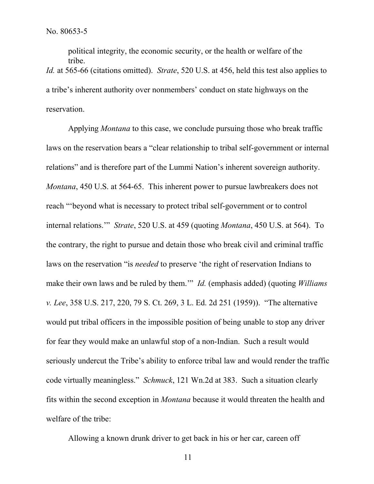political integrity, the economic security, or the health or welfare of the tribe. *Id.* at 565-66 (citations omitted). *Strate*, 520 U.S. at 456, held this test also applies to a tribe's inherent authority over nonmembers' conduct on state highways on the reservation.

Applying *Montana* to this case, we conclude pursuing those who break traffic laws on the reservation bears a "clear relationship to tribal self-government or internal relations" and is therefore part of the Lummi Nation's inherent sovereign authority. *Montana*, 450 U.S. at 564-65. This inherent power to pursue lawbreakers does not reach "'beyond what is necessary to protect tribal self-government or to control internal relations.'" *Strate*, 520 U.S. at 459 (quoting *Montana*, 450 U.S. at 564). To the contrary, the right to pursue and detain those who break civil and criminal traffic laws on the reservation "is *needed* to preserve 'the right of reservation Indians to make their own laws and be ruled by them.'" *Id.* (emphasis added) (quoting *Williams v. Lee*, 358 U.S. 217, 220, 79 S. Ct. 269, 3 L. Ed. 2d 251 (1959)). "The alternative would put tribal officers in the impossible position of being unable to stop any driver for fear they would make an unlawful stop of a non-Indian. Such a result would seriously undercut the Tribe's ability to enforce tribal law and would render the traffic code virtually meaningless." *Schmuck*, 121 Wn.2d at 383. Such a situation clearly fits within the second exception in *Montana* because it would threaten the health and welfare of the tribe:

Allowing a known drunk driver to get back in his or her car, careen off

11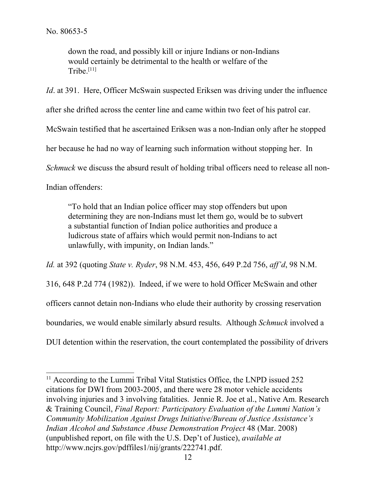down the road, and possibly kill or injure Indians or non-Indians would certainly be detrimental to the health or welfare of the  $Tribe.$ <sup>[11]</sup>

*Id.* at 391. Here, Officer McSwain suspected Eriksen was driving under the influence after she drifted across the center line and came within two feet of his patrol car. McSwain testified that he ascertained Eriksen was a non-Indian only after he stopped her because he had no way of learning such information without stopping her. In *Schmuck* we discuss the absurd result of holding tribal officers need to release all non-Indian offenders:

"To hold that an Indian police officer may stop offenders but upon determining they are non-Indians must let them go, would be to subvert a substantial function of Indian police authorities and produce a ludicrous state of affairs which would permit non-Indians to act unlawfully, with impunity, on Indian lands."

*Id.* at 392 (quoting *State v. Ryder*, 98 N.M. 453, 456, 649 P.2d 756, *aff'd*, 98 N.M. 316, 648 P.2d 774 (1982)). Indeed, if we were to hold Officer McSwain and other officers cannot detain non-Indians who elude their authority by crossing reservation boundaries, we would enable similarly absurd results. Although *Schmuck* involved a DUI detention within the reservation, the court contemplated the possibility of drivers

<sup>&</sup>lt;sup>11</sup> According to the Lummi Tribal Vital Statistics Office, the LNPD issued 252 citations for DWI from 2003-2005, and there were 28 motor vehicle accidents involving injuries and 3 involving fatalities. Jennie R. Joe et al., Native Am. Research & Training Council, *Final Report: Participatory Evaluation of the Lummi Nation's Community Mobilization Against Drugs Initiative/Bureau of Justice Assistance's Indian Alcohol and Substance Abuse Demonstration Project* 48 (Mar. 2008) (unpublished report, on file with the U.S. Dep't of Justice), *available at*  http://www.ncjrs.gov/pdffiles1/nij/grants/222741.pdf.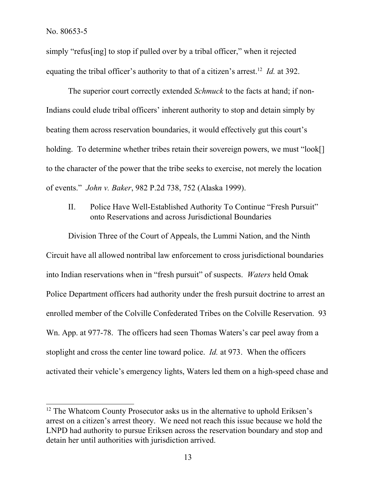simply "refus[ing] to stop if pulled over by a tribal officer," when it rejected equating the tribal officer's authority to that of a citizen's arrest.<sup>12</sup> *Id.* at 392.

The superior court correctly extended *Schmuck* to the facts at hand; if non-Indians could elude tribal officers' inherent authority to stop and detain simply by beating them across reservation boundaries, it would effectively gut this court's holding. To determine whether tribes retain their sovereign powers, we must "look[] to the character of the power that the tribe seeks to exercise, not merely the location of events." *John v. Baker*, 982 P.2d 738, 752 (Alaska 1999).

II. Police Have Well-Established Authority To Continue "Fresh Pursuit" onto Reservations and across Jurisdictional Boundaries

Division Three of the Court of Appeals, the Lummi Nation, and the Ninth Circuit have all allowed nontribal law enforcement to cross jurisdictional boundaries into Indian reservations when in "fresh pursuit" of suspects. *Waters* held Omak Police Department officers had authority under the fresh pursuit doctrine to arrest an enrolled member of the Colville Confederated Tribes on the Colville Reservation. 93 Wn. App. at 977-78. The officers had seen Thomas Waters's car peel away from a stoplight and cross the center line toward police. *Id.* at 973. When the officers activated their vehicle's emergency lights, Waters led them on a high-speed chase and

<sup>&</sup>lt;sup>12</sup> The Whatcom County Prosecutor asks us in the alternative to uphold Eriksen's arrest on a citizen's arrest theory. We need not reach this issue because we hold the LNPD had authority to pursue Eriksen across the reservation boundary and stop and detain her until authorities with jurisdiction arrived.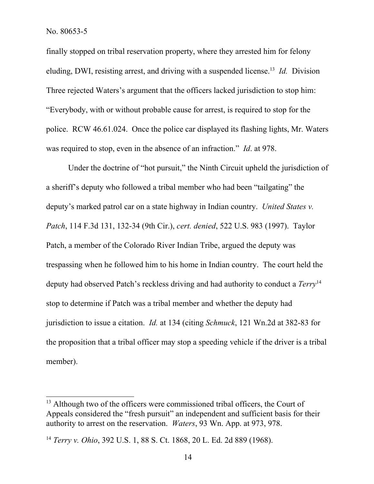finally stopped on tribal reservation property, where they arrested him for felony eluding, DWI, resisting arrest, and driving with a suspended license.<sup>13</sup> *Id.* Division Three rejected Waters's argument that the officers lacked jurisdiction to stop him: "Everybody, with or without probable cause for arrest, is required to stop for the police. RCW 46.61.024. Once the police car displayed its flashing lights, Mr. Waters was required to stop, even in the absence of an infraction." *Id*. at 978.

Under the doctrine of "hot pursuit," the Ninth Circuit upheld the jurisdiction of a sheriff's deputy who followed a tribal member who had been "tailgating" the deputy's marked patrol car on a state highway in Indian country. *United States v. Patch*, 114 F.3d 131, 132-34 (9th Cir.), *cert. denied*, 522 U.S. 983 (1997). Taylor Patch, a member of the Colorado River Indian Tribe, argued the deputy was trespassing when he followed him to his home in Indian country. The court held the deputy had observed Patch's reckless driving and had authority to conduct a *Terry*<sup>14</sup> stop to determine if Patch was a tribal member and whether the deputy had jurisdiction to issue a citation. *Id.* at 134 (citing *Schmuck*, 121 Wn.2d at 382-83 for the proposition that a tribal officer may stop a speeding vehicle if the driver is a tribal member).

<sup>&</sup>lt;sup>13</sup> Although two of the officers were commissioned tribal officers, the Court of Appeals considered the "fresh pursuit" an independent and sufficient basis for their authority to arrest on the reservation. *Waters*, 93 Wn. App. at 973, 978.

<sup>14</sup> *Terry v. Ohio*, 392 U.S. 1, 88 S. Ct. 1868, 20 L. Ed. 2d 889 (1968).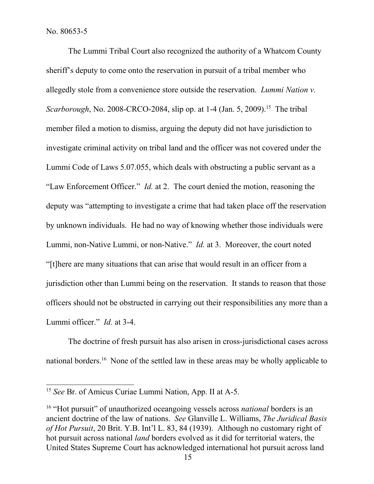The Lummi Tribal Court also recognized the authority of a Whatcom County sheriff's deputy to come onto the reservation in pursuit of a tribal member who allegedly stole from a convenience store outside the reservation. *Lummi Nation v. Scarborough*, No. 2008-CRCO-2084, slip op. at 1-4 (Jan. 5, 2009).<sup>15</sup> The tribal member filed a motion to dismiss, arguing the deputy did not have jurisdiction to investigate criminal activity on tribal land and the officer was not covered under the Lummi Code of Laws 5.07.055, which deals with obstructing a public servant as a "Law Enforcement Officer." *Id.* at 2. The court denied the motion, reasoning the deputy was "attempting to investigate a crime that had taken place off the reservation by unknown individuals. He had no way of knowing whether those individuals were Lummi, non-Native Lummi, or non-Native." *Id.* at 3. Moreover, the court noted "[t]here are many situations that can arise that would result in an officer from a jurisdiction other than Lummi being on the reservation. It stands to reason that those officers should not be obstructed in carrying out their responsibilities any more than a Lummi officer." *Id.* at 3-4.

The doctrine of fresh pursuit has also arisen in cross-jurisdictional cases across national borders.<sup>16</sup> None of the settled law in these areas may be wholly applicable to

<sup>15</sup> *See* Br. of Amicus Curiae Lummi Nation, App. II at A-5.

<sup>16</sup> "Hot pursuit" of unauthorized oceangoing vessels across *national* borders is an ancient doctrine of the law of nations. *See* Glanville L. Williams, *The Juridical Basis of Hot Pursuit*, 20 Brit. Y.B. Int'l L. 83, 84 (1939). Although no customary right of hot pursuit across national *land* borders evolved as it did for territorial waters, the United States Supreme Court has acknowledged international hot pursuit across land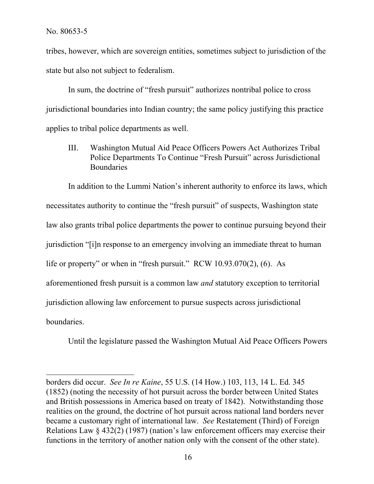tribes, however, which are sovereign entities, sometimes subject to jurisdiction of the state but also not subject to federalism.

In sum, the doctrine of "fresh pursuit" authorizes nontribal police to cross jurisdictional boundaries into Indian country; the same policy justifying this practice applies to tribal police departments as well.

III. Washington Mutual Aid Peace Officers Powers Act Authorizes Tribal Police Departments To Continue "Fresh Pursuit" across Jurisdictional **Boundaries** 

In addition to the Lummi Nation's inherent authority to enforce its laws, which necessitates authority to continue the "fresh pursuit" of suspects, Washington state law also grants tribal police departments the power to continue pursuing beyond their jurisdiction "[i]n response to an emergency involving an immediate threat to human life or property" or when in "fresh pursuit." RCW 10.93.070(2), (6). As aforementioned fresh pursuit is a common law *and* statutory exception to territorial jurisdiction allowing law enforcement to pursue suspects across jurisdictional boundaries.

Until the legislature passed the Washington Mutual Aid Peace Officers Powers

borders did occur. *See In re Kaine*, 55 U.S. (14 How.) 103, 113, 14 L. Ed. 345 (1852) (noting the necessity of hot pursuit across the border between United States and British possessions in America based on treaty of 1842). Notwithstanding those realities on the ground, the doctrine of hot pursuit across national land borders never became a customary right of international law. *See* Restatement (Third) of Foreign Relations Law § 432(2) (1987) (nation's law enforcement officers may exercise their functions in the territory of another nation only with the consent of the other state).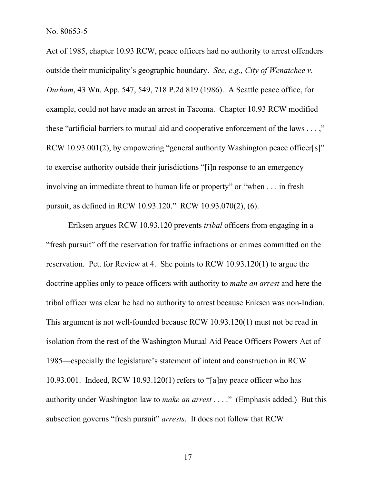Act of 1985, chapter 10.93 RCW, peace officers had no authority to arrest offenders outside their municipality's geographic boundary. *See, e.g., City of Wenatchee v. Durham*, 43 Wn. App. 547, 549, 718 P.2d 819 (1986). A Seattle peace office, for example, could not have made an arrest in Tacoma. Chapter 10.93 RCW modified these "artificial barriers to mutual aid and cooperative enforcement of the laws . . . ," RCW 10.93.001(2), by empowering "general authority Washington peace officer[s]" to exercise authority outside their jurisdictions "[i]n response to an emergency involving an immediate threat to human life or property" or "when . . . in fresh pursuit, as defined in RCW 10.93.120." RCW 10.93.070(2), (6).

Eriksen argues RCW 10.93.120 prevents *tribal* officers from engaging in a "fresh pursuit" off the reservation for traffic infractions or crimes committed on the reservation. Pet. for Review at 4. She points to RCW 10.93.120(1) to argue the doctrine applies only to peace officers with authority to *make an arrest* and here the tribal officer was clear he had no authority to arrest because Eriksen was non-Indian. This argument is not well-founded because RCW 10.93.120(1) must not be read in isolation from the rest of the Washington Mutual Aid Peace Officers Powers Act of 1985—especially the legislature's statement of intent and construction in RCW 10.93.001. Indeed, RCW 10.93.120(1) refers to "[a]ny peace officer who has authority under Washington law to *make an arrest* . . . ." (Emphasis added.) But this subsection governs "fresh pursuit" *arrests*. It does not follow that RCW

17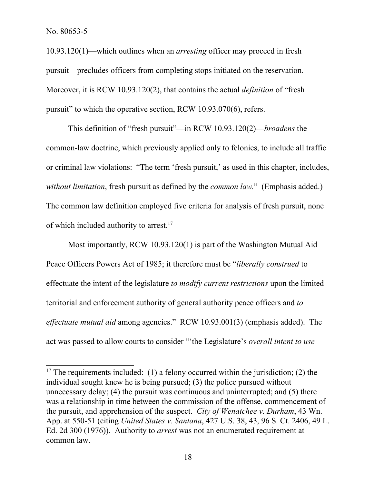10.93.120(1)—which outlines when an *arresting* officer may proceed in fresh pursuit—precludes officers from completing stops initiated on the reservation. Moreover, it is RCW 10.93.120(2), that contains the actual *definition* of "fresh pursuit" to which the operative section, RCW 10.93.070(6), refers.

This definition of "fresh pursuit"—in RCW 10.93.120(2)—*broadens* the common-law doctrine, which previously applied only to felonies, to include all traffic or criminal law violations: "The term 'fresh pursuit,' as used in this chapter, includes, *without limitation*, fresh pursuit as defined by the *common law.*" (Emphasis added.) The common law definition employed five criteria for analysis of fresh pursuit, none of which included authority to arrest.<sup>17</sup>

Most importantly, RCW 10.93.120(1) is part of the Washington Mutual Aid Peace Officers Powers Act of 1985; it therefore must be "*liberally construed* to effectuate the intent of the legislature *to modify current restrictions* upon the limited territorial and enforcement authority of general authority peace officers and *to effectuate mutual aid* among agencies." RCW 10.93.001(3) (emphasis added). The act was passed to allow courts to consider "'the Legislature's *overall intent to use* 

<sup>&</sup>lt;sup>17</sup> The requirements included: (1) a felony occurred within the jurisdiction; (2) the individual sought knew he is being pursued; (3) the police pursued without unnecessary delay; (4) the pursuit was continuous and uninterrupted; and (5) there was a relationship in time between the commission of the offense, commencement of the pursuit, and apprehension of the suspect. *City of Wenatchee v. Durham*, 43 Wn. App. at 550-51 (citing *United States v. Santana*, 427 U.S. 38, 43, 96 S. Ct. 2406, 49 L. Ed. 2d 300 (1976)). Authority to *arrest* was not an enumerated requirement at common law.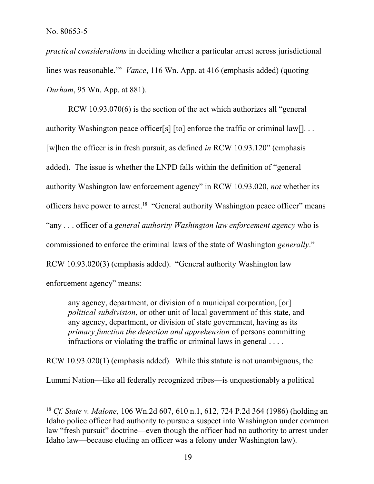*practical considerations* in deciding whether a particular arrest across jurisdictional lines was reasonable.'" *Vance*, 116 Wn. App. at 416 (emphasis added) (quoting *Durham*, 95 Wn. App. at 881).

RCW 10.93.070(6) is the section of the act which authorizes all "general authority Washington peace officer[s] [to] enforce the traffic or criminal law[]. . . [w]hen the officer is in fresh pursuit, as defined *in* RCW 10.93.120" (emphasis added). The issue is whether the LNPD falls within the definition of "general authority Washington law enforcement agency" in RCW 10.93.020, *not* whether its officers have power to arrest.<sup>18</sup> "General authority Washington peace officer" means "any . . . officer of a *general authority Washington law enforcement agency* who is commissioned to enforce the criminal laws of the state of Washington *generally*." RCW 10.93.020(3) (emphasis added). "General authority Washington law enforcement agency" means:

any agency, department, or division of a municipal corporation, [or] *political subdivision*, or other unit of local government of this state, and any agency, department, or division of state government, having as its *primary function the detection and apprehension* of persons committing infractions or violating the traffic or criminal laws in general . . . .

RCW 10.93.020(1) (emphasis added). While this statute is not unambiguous, the Lummi Nation—like all federally recognized tribes—is unquestionably a political

<sup>18</sup> *Cf. State v. Malone*, 106 Wn.2d 607, 610 n.1, 612, 724 P.2d 364 (1986) (holding an Idaho police officer had authority to pursue a suspect into Washington under common law "fresh pursuit" doctrine—even though the officer had no authority to arrest under Idaho law—because eluding an officer was a felony under Washington law).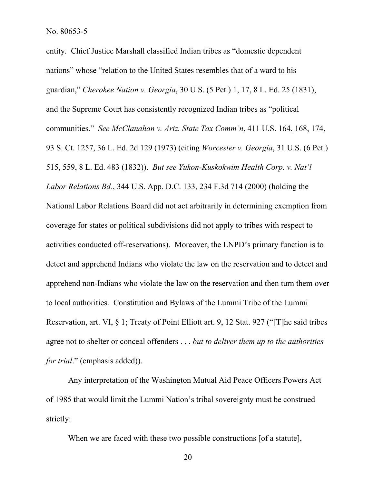entity. Chief Justice Marshall classified Indian tribes as "domestic dependent nations" whose "relation to the United States resembles that of a ward to his guardian," *Cherokee Nation v. Georgia*, 30 U.S. (5 Pet.) 1, 17, 8 L. Ed. 25 (1831), and the Supreme Court has consistently recognized Indian tribes as "political communities." *See McClanahan v. Ariz. State Tax Comm'n*, 411 U.S. 164, 168, 174, 93 S. Ct. 1257, 36 L. Ed. 2d 129 (1973) (citing *Worcester v. Georgia*, 31 U.S. (6 Pet.) 515, 559, 8 L. Ed. 483 (1832)). *But see Yukon-Kuskokwim Health Corp. v. Nat'l Labor Relations Bd.*, 344 U.S. App. D.C. 133, 234 F.3d 714 (2000) (holding the National Labor Relations Board did not act arbitrarily in determining exemption from coverage for states or political subdivisions did not apply to tribes with respect to activities conducted off-reservations). Moreover, the LNPD's primary function is to detect and apprehend Indians who violate the law on the reservation and to detect and apprehend non-Indians who violate the law on the reservation and then turn them over to local authorities. Constitution and Bylaws of the Lummi Tribe of the Lummi Reservation, art. VI, § 1; Treaty of Point Elliott art. 9, 12 Stat. 927 ("[T]he said tribes agree not to shelter or conceal offenders . . . *but to deliver them up to the authorities for trial*." (emphasis added)).

Any interpretation of the Washington Mutual Aid Peace Officers Powers Act of 1985 that would limit the Lummi Nation's tribal sovereignty must be construed strictly:

When we are faced with these two possible constructions [of a statute],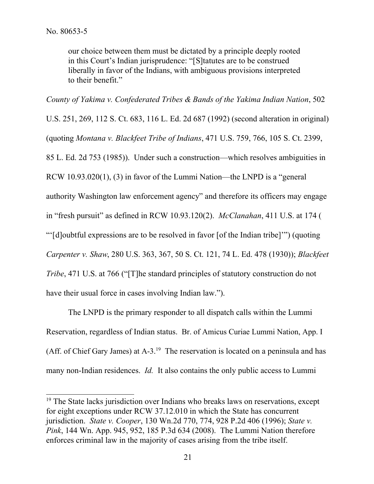our choice between them must be dictated by a principle deeply rooted in this Court's Indian jurisprudence: "[S]tatutes are to be construed liberally in favor of the Indians, with ambiguous provisions interpreted to their benefit."

*County of Yakima v. Confederated Tribes & Bands of the Yakima Indian Nation*, 502

U.S. 251, 269, 112 S. Ct. 683, 116 L. Ed. 2d 687 (1992) (second alteration in original) (quoting *Montana v. Blackfeet Tribe of Indians*, 471 U.S. 759, 766, 105 S. Ct. 2399, 85 L. Ed. 2d 753 (1985)). Under such a construction—which resolves ambiguities in RCW 10.93.020(1), (3) in favor of the Lummi Nation—the LNPD is a "general authority Washington law enforcement agency" and therefore its officers may engage in "fresh pursuit" as defined in RCW 10.93.120(2). *McClanahan*, 411 U.S. at 174 ( "'[d]oubtful expressions are to be resolved in favor [of the Indian tribe]'") (quoting *Carpenter v. Shaw*, 280 U.S. 363, 367, 50 S. Ct. 121, 74 L. Ed. 478 (1930)); *Blackfeet Tribe*, 471 U.S. at 766 ("[T]he standard principles of statutory construction do not have their usual force in cases involving Indian law.").

The LNPD is the primary responder to all dispatch calls within the Lummi Reservation, regardless of Indian status. Br. of Amicus Curiae Lummi Nation, App. I (Aff. of Chief Gary James) at  $A-3$ <sup>19</sup> The reservation is located on a peninsula and has many non-Indian residences. *Id.* It also contains the only public access to Lummi

<sup>&</sup>lt;sup>19</sup> The State lacks jurisdiction over Indians who breaks laws on reservations, except for eight exceptions under RCW 37.12.010 in which the State has concurrent jurisdiction. *State v. Cooper*, 130 Wn.2d 770, 774, 928 P.2d 406 (1996); *State v. Pink*, 144 Wn. App. 945, 952, 185 P.3d 634 (2008). The Lummi Nation therefore enforces criminal law in the majority of cases arising from the tribe itself.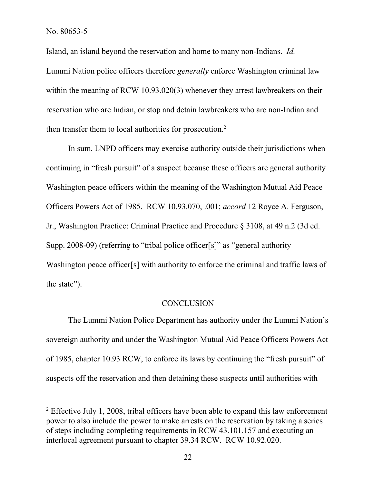Island, an island beyond the reservation and home to many non-Indians. *Id.*  Lummi Nation police officers therefore *generally* enforce Washington criminal law within the meaning of RCW 10.93.020(3) whenever they arrest lawbreakers on their reservation who are Indian, or stop and detain lawbreakers who are non-Indian and then transfer them to local authorities for prosecution.<sup>2</sup>

In sum, LNPD officers may exercise authority outside their jurisdictions when continuing in "fresh pursuit" of a suspect because these officers are general authority Washington peace officers within the meaning of the Washington Mutual Aid Peace Officers Powers Act of 1985. RCW 10.93.070, .001; *accord* 12 Royce A. Ferguson, Jr., Washington Practice: Criminal Practice and Procedure § 3108, at 49 n.2 (3d ed. Supp. 2008-09) (referring to "tribal police officer[s]" as "general authority Washington peace officer[s] with authority to enforce the criminal and traffic laws of the state").

#### **CONCLUSION**

The Lummi Nation Police Department has authority under the Lummi Nation's sovereign authority and under the Washington Mutual Aid Peace Officers Powers Act of 1985, chapter 10.93 RCW, to enforce its laws by continuing the "fresh pursuit" of suspects off the reservation and then detaining these suspects until authorities with

 $2$  Effective July 1, 2008, tribal officers have been able to expand this law enforcement power to also include the power to make arrests on the reservation by taking a series of steps including completing requirements in RCW 43.101.157 and executing an interlocal agreement pursuant to chapter 39.34 RCW. RCW 10.92.020.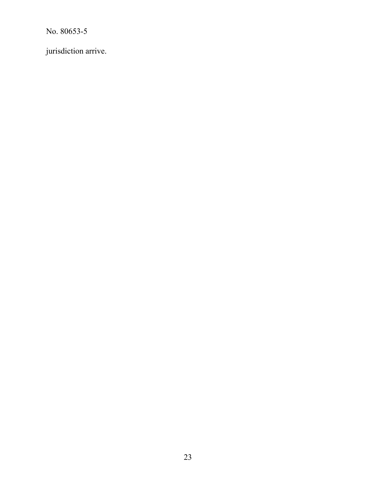jurisdiction arrive.